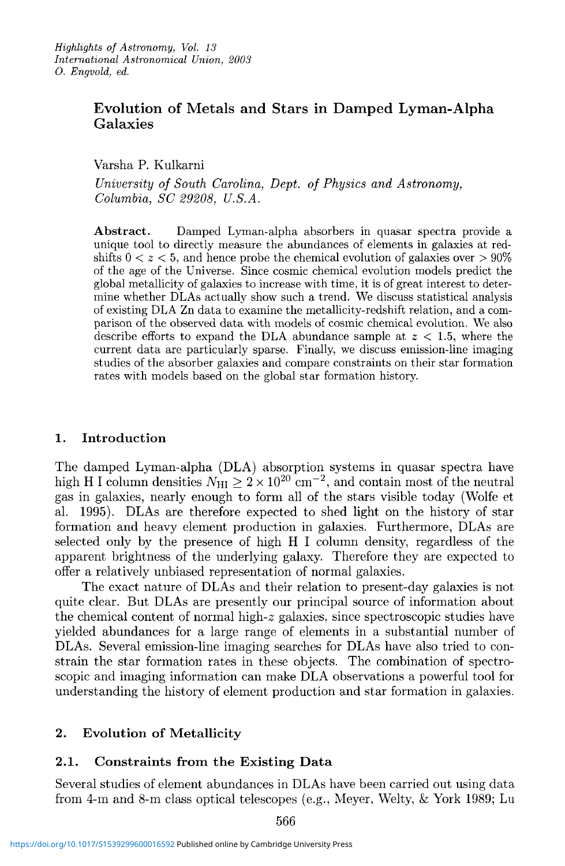# **Evolution of Metals and Stars in Damped Lyman-Alpha Galaxies**

Varsha P. Kulkarni

*University of South Carolina, Dept. of Physics and Astronomy, Columbia, SC 29208, U.S.A.* 

Abstract. Damped Lyman-alpha absorbers in quasar spectra provide a unique tool to directly measure the abundances of elements in galaxies at redshifts  $0 < z < 5$ , and hence probe the chemical evolution of galaxies over  $> 90\%$ of the age of the Universe. Since cosmic chemical evolution models predict the global metallicity of galaxies to increase with time, it is of great interest to deter- mine whether DLAs actually show such a trend. We discuss statistical analysis of existing DLA Zn data to examine the metallicity-redshift relation, and a com- parison of the observed data with models of cosmic chemical evolution. We also describe efforts to expand the DLA abundance sample at *z* < 1.5, where the current data are particularly sparse. Finally, we discuss emission-line imaging studies of the absorber galaxies and compare constraints on their star formation rates with models based on the global star formation history.

#### **1. Introduction**

The damped Lyman-alpha (DLA) absorption systems in quasar spectra have high H I column densities  $N_{\rm HI} \ge 2 \times 10^{20}$  cm<sup>-2</sup>, and contain most of the neutral gas in galaxies, nearly enough to form all of the stars visible today (Wolfe et al. 1995). DLAs are therefore expected to shed light on the history of star formation and heavy element production in galaxies. Furthermore, DLAs are selected only by the presence of high H I column density, regardless of the apparent brightness of the underlying galaxy. Therefore they are expected to offer a relatively unbiased representation of normal galaxies.

The exact nature of DLAs and their relation to present-day galaxies is not quite clear. But DLAs are presently our principal source of information about the chemical content of normal high- $z$  galaxies, since spectroscopic studies have yielded abundances for a large range of elements in a substantial number of DLAs. Several emission-line imaging searches for DLAs have also tried to constrain the star formation rates in these objects. The combination of spectroscopic and imaging information can make DLA observations a powerful tool for understanding the history of element production and star formation in galaxies.

# **2. Evolution of Metallicity**

# **2.1. Constraints from the Existing Data**

Several studies of element abundances in DLAs have been carried out using data from 4-m and 8-m class optical telescopes (e.g., Meyer, Welty, & York 1989; Lu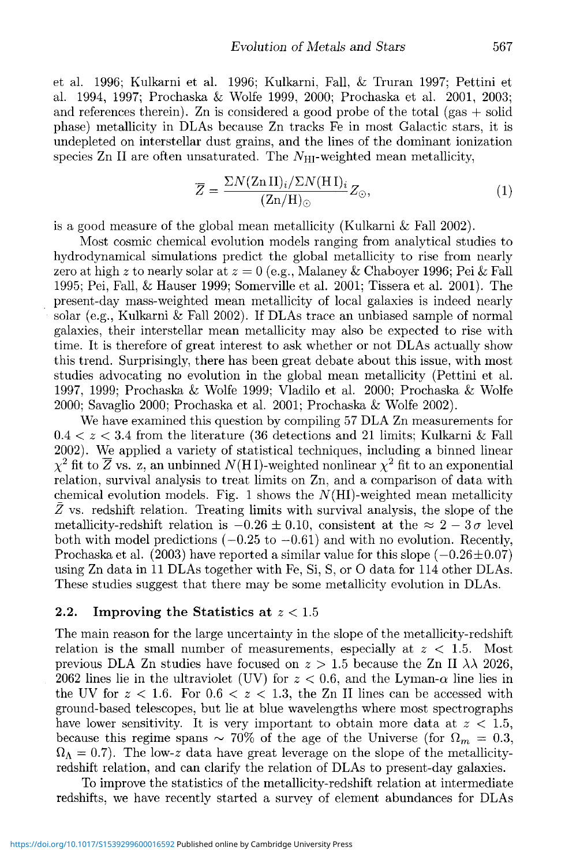et al. 1996; Kulkarni et al. 1996; Kulkarni, Fall, & Truran 1997; Pettini et al. 1994, 1997; Prochaska & Wolfe 1999, 2000; Prochaska et al. 2001, 2003; and references therein). Zn is considered a good probe of the total (gas  $+$  solid phase) metallicity in DLAs because Zn tracks Fe in most Galactic stars, it is undepleted on interstellar dust grains, and the lines of the dominant ionization species Zn II are often unsaturated. The  $N_{\text{HI}}$ -weighted mean metallicity,

$$
\overline{Z} = \frac{\Sigma N (\text{Zn II})_i / \Sigma N (\text{H I})_i}{(\text{Zn/H})_{\odot}} Z_{\odot}, \tag{1}
$$

is a good measure of the global mean metallicity (Kulkarni & Fall 2002).

Most cosmic chemical evolution models ranging from analytical studies to hydrodynamical simulations predict the global metallicity to rise from nearly zero at high *z* to nearly solar at *z =* 0 (e.g., Malaney & Chaboyer 1996; Pei & Fall 1995; Pei, Fall, & Hauser 1999; Somerville et al. 2001; Tissera et al. 2001). The present-day mass-weighted mean metallicity of local galaxies is indeed nearly solar (e.g., Kulkarni & Fall 2002). If DLAs trace an unbiased sample of normal galaxies, their interstellar mean metallicity may also be expected to rise with time. It is therefore of great interest to ask whether or not DLAs actually show this trend. Surprisingly, there has been great debate about this issue, with most studies advocating no evolution in the global mean metallicity (Pettini et al. 1997, 1999; Prochaska & Wolfe 1999; Vladilo et al. 2000; Prochaska & Wolfe 2000; Savaglio 2000; Prochaska et al. 2001; Prochaska & Wolfe 2002).

We have examined this question by compiling 57 DLA Zn measurements for  $0.4 < z < 3.4$  from the literature (36 detections and 21 limits; Kulkarni & Fall 2002). We applied a variety of statistical techniques, including a binned linear  $\chi^2$  fit to  $\overline{Z}$  vs. z, an unbinned  $N(HI)$ -weighted nonlinear  $\chi^2$  fit to an exponential relation, survival analysis to treat limits on Zn, and a comparison of data with chemical evolution models. Fig. 1 shows the  $N(HI)$ -weighted mean metallicity  $\bar{Z}$  vs. redshift relation. Treating limits with survival analysis, the slope of the metallicity-redshift relation is  $-0.26 \pm 0.10$ , consistent at the  $\approx 2-3\sigma$  level both with model predictions  $(-0.25 \text{ to } -0.61)$  and with no evolution. Recently, Prochaska et al.  $(2003)$  have reported a similar value for this slope  $(-0.26 \pm 0.07)$ using Zn data in 11 DLAs together with Fe, Si, S, or O data for 114 other DLAs. These studies suggest that there may be some metallicity evolution in DLAs.

#### **2.2. Improving the Statistics at** z < 1.5

The main reason for the large uncertainty in the slope of the metallicity-redshift relation is the small number of measurements, especially at *z <* 1.5. Most previous DLA Zn studies have focused on  $z > 1.5$  because the Zn II  $\lambda \lambda$  2026, 2062 lines lie in the ultraviolet (UV) for  $z < 0.6$ , and the Lyman- $\alpha$  line lies in the UV for  $z < 1.6$ . For  $0.6 < z < 1.3$ , the Zn II lines can be accessed with ground-based telescopes, but lie at blue wavelengths where most spectrographs have lower sensitivity. It is very important to obtain more data at  $z < 1.5$ , because this regime spans  $\sim 70\%$  of the age of the Universe (for  $\Omega_m = 0.3$ ,  $\Omega_{\Lambda} = 0.7$ ). The low-*z* data have great leverage on the slope of the metallicityredshift relation, and can clarify the relation of DLAs to present-day galaxies.

To improve the statistics of the metallicity-redshift relation at intermediate redshifts, we have recently started a survey of element abundances for DLAs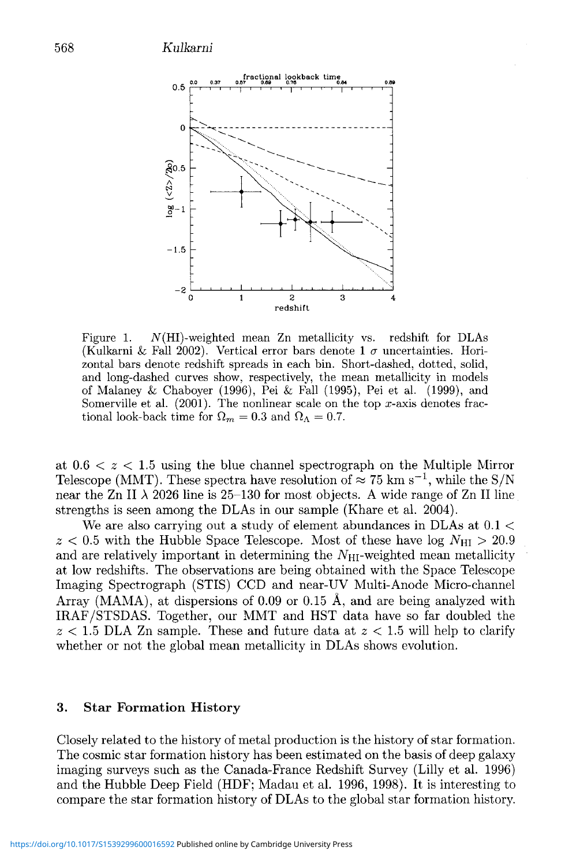

Figure 1.  $N(HI)$ -weighted mean Zn metallicity vs. redshift for DLAs (Kulkarni & Fall 2002). Vertical error bars denote 1  $\sigma$  uncertainties. Horizontal bars denote redshift spreads in each bin. Short-dashed, dotted, solid, and long-dashed curves show, respectively, the mean metallicity in models of Malaney & Chaboyer (1996), Pei & Fall (1995), Pei et al. (1999), and Somerville et al.  $(2001)$ . The nonlinear scale on the top x-axis denotes fractional look-back time for  $\Omega_m = 0.3$  and  $\Omega_\Lambda = 0.7$ .

at  $0.6 < z < 1.5$  using the blue channel spectrograph on the Multiple Mirror Telescope (MMT). These spectra have resolution of  $\approx 75$  km s<sup>-1</sup>, while the S/N near the Zn II  $\lambda$  2026 line is 25-130 for most objects. A wide range of Zn II line strengths is seen among the DLAs in our sample (Khare et al. 2004).

We are also carrying out a study of element abundances in DLAs at  $0.1 <$  $z < 0.5$  with the Hubble Space Telescope. Most of these have log  $N_{\text{HI}} > 20.9$ and are relatively important in determining the  $N_{\text{HI}}$ -weighted mean metallicity at low redshifts. The observations are being obtained with the Space Telescope Imaging Spectrograph (STIS) CCD and near-UV Multi-Anode Micro-channel Array (MAMA), at dispersions of 0.09 or 0.15 A, and are being analyzed with IRAF/STSDAS. Together, our MMT and HST data have so far doubled the  $z < 1.5$  DLA Zn sample. These and future data at  $z < 1.5$  will help to clarify whether or not the global mean metallicity in DLAs shows evolution.

#### **3. Star Formation History**

Closely related to the history of metal production is the history of star formation. The cosmic star formation history has been estimated on the basis of deep galaxy imaging surveys such as the Canada-France Redshift Survey (Lilly et al. 1996) and the Hubble Deep Field (HDF; Madau et al. 1996, 1998). It is interesting to compare the star formation history of DLAs to the global star formation history.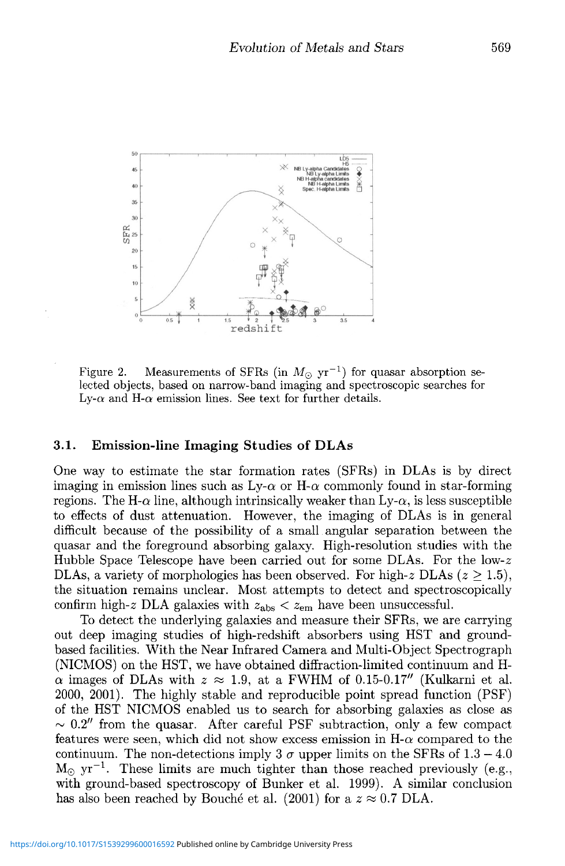

Figure 2. Measurements of SFRs (in  $M_{\odot}$  yr<sup>-1</sup>) for quasar absorption selected objects, based on narrow-band imaging and spectroscopic searches for Ly- $\alpha$  and H- $\alpha$  emission lines. See text for further details.

#### **3.1. Emission-line Imaging Studies of DLAs**

One way to estimate the star formation rates (SFRs) in DLAs is by direct imaging in emission lines such as  $Ly-\alpha$  or H- $\alpha$  commonly found in star-forming regions. The H- $\alpha$  line, although intrinsically weaker than  $Ly-\alpha$ , is less susceptible to effects of dust attenuation. However, the imaging of DLAs is in general difficult because of the possibility of a small angular separation between the quasar and the foreground absorbing galaxy. High-resolution studies with the Hubble Space Telescope have been carried out for some DLAs. For the low-z DLAs, a variety of morphologies has been observed. For high-z DLAs  $(z \geq 1.5)$ , the situation remains unclear. Most attempts to detect and spectroscopically confirm high-z DLA galaxies with  $z_{\text{abs}} < z_{\text{em}}$  have been unsuccessful.

To detect the underlying galaxies and measure their SFRs, we are carrying out deep imaging studies of high-redshift absorbers using HST and groundbased facilities. With the Near Infrared Camera and Multi-Object Spectrograph (NICMOS) on the HST, we have obtained diffraction-limited continuum and H- $\alpha$  images of DLAs with  $z \approx 1.9$ , at a FWHM of 0.15-0.17" (Kulkarni et al. 2000, 2001). The highly stable and reproducible point spread function (PSF) of the HST NICMOS enabled us to search for absorbing galaxies as close as  $\sim 0.2''$  from the quasar. After careful PSF subtraction, only a few compact features were seen, which did not show excess emission in  $H-\alpha$  compared to the continuum. The non-detections imply 3  $\sigma$  upper limits on the SFRs of 1.3 – 4.0  $M_{\odot}$  yr<sup>-1</sup>. These limits are much tighter than those reached previously (e.g., with ground-based spectroscopy of Bunker et al. 1999). A similar conclusion has also been reached by Bouché et al. (2001) for a  $z \approx 0.7$  DLA.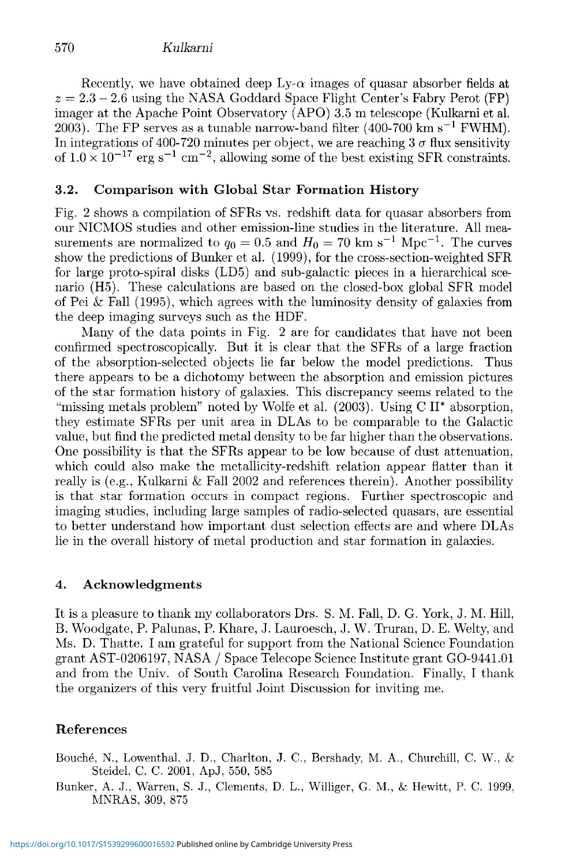# 570 *Kulkarni*

Recently, we have obtained deep  $Lv-\alpha$  images of quasar absorber fields at  $z = 2.3 - 2.6$  using the NASA Goddard Space Flight Center's Fabry Perot (FP) imager at the Apache Point Observatory (APO) 3.5 m telescope (Kulkarni et al. 2003). The FP serves as a tunable narrow-band filter (400-700 km s<sup>-1</sup> FWHM). In integrations of 400-720 minutes per object, we are reaching  $3\sigma$  flux sensitivity of  $1.0 \times 10^{-17}$  erg s<sup>-1</sup> cm<sup>-2</sup>, allowing some of the best existing SFR constraints.

## **3.2. Comparison with Global Star Formation History**

Fig. 2 shows a compilation of SFRs vs. redshift data for quasar absorbers from our NICMOS studies and other emission-line studies in the literature. All measurements are normalized to  $q_0 = 0.5$  and  $H_0 = 70$  km s<sup>-1</sup> Mpc<sup>-1</sup>. The curves show the predictions of Bunker et al. (1999), for the cross-section-weighted SFR for large proto-spiral disks (LD5) and sub-galactic pieces in a hierarchical scenario (H5). These calculations are based on the closed-box global SFR model of Pei & Fall (1995), which agrees with the luminosity density of galaxies from the deep imaging surveys such as the HDF.

Many of the data points in Fig. 2 are for candidates that have not been confirmed spectroscopically. But it is clear that the SFRs of a large fraction of the absorption-selected objects lie far below the model predictions. Thus there appears to be a dichotomy between the absorption and emission pictures of the star formation history of galaxies. This discrepancy seems related to the "missing metals problem" noted by Wolfe et al. (2003). Using C II\* absorption, they estimate SFRs per unit area in DLAs to be comparable to the Galactic value, but find the predicted metal density to be far higher than the observations. One possibility is that the SFRs appear to be low because of dust attenuation, which could also make the metallicity-redshift relation appear flatter than it really is (e.g., Kulkarni & Fall 2002 and references therein). Another possibility is that star formation occurs in compact regions. Further spectroscopic and imaging studies, including large samples of radio-selected quasars, are essential to better understand how important dust selection effects are and where DLAs lie in the overall history of metal production and star formation in galaxies.

### **4. Acknowledgments**

**It** is a pleasure to thank my collaborators Drs. S. M. Fall, D. G. York, J. M. Hill, B. Woodgate, P. Palunas, P. Khare, J. Lauroesch, J. W. Truran, D. E. Welty, and Ms. D. Thatte. I am grateful for support from the National Science Foundation grant AST-0206197, NASA / Space Telecope Science Institute grant GO-9441.01 and from the Univ. of South Carolina Research Foundation. Finally, I thank the organizers of this very fruitful Joint Discussion for inviting me.

### **References**

Bouche, N., Lowenthal, J. D., Charlton, J. C, Bershady, M. A., Churchill, C. W., & Steidel, C. C. 2001, ApJ, 550, 585

Bunker, A. J., Warren, S. J., Clements, D. L., Williger, G. M., & Hewitt, P. C. 1999. MNRAS, 309, 875